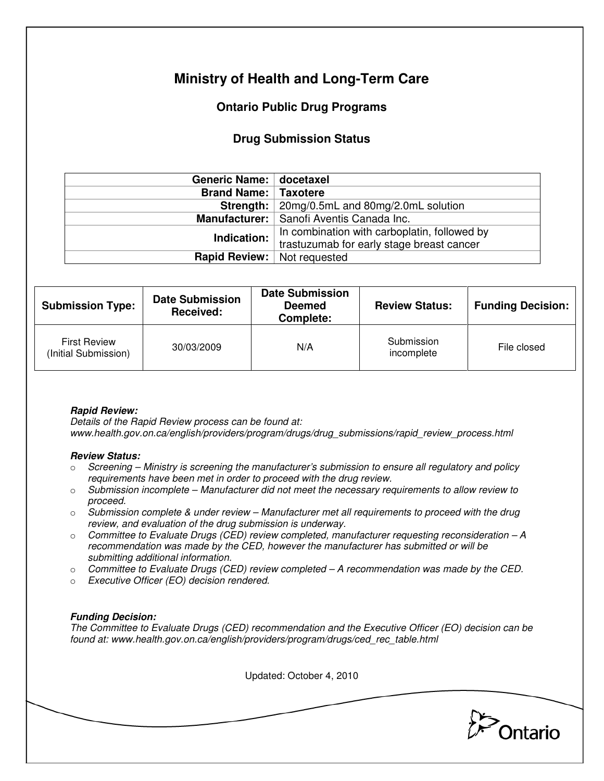# **Ministry of Health and Long-Term Care**

## **Ontario Public Drug Programs**

### **Drug Submission Status**

| Generic Name: docetaxel              |                                                       |  |  |
|--------------------------------------|-------------------------------------------------------|--|--|
| <b>Brand Name: Taxotere</b>          |                                                       |  |  |
|                                      | <b>Strength:</b>   20mg/0.5mL and 80mg/2.0mL solution |  |  |
|                                      | Manufacturer:   Sanofi Aventis Canada Inc.            |  |  |
| Indication:                          | In combination with carboplatin, followed by          |  |  |
|                                      | trastuzumab for early stage breast cancer             |  |  |
| <b>Rapid Review:</b>   Not requested |                                                       |  |  |

| <b>Submission Type:</b>                     | <b>Date Submission</b><br>Received: | <b>Date Submission</b><br><b>Deemed</b><br>Complete: | <b>Review Status:</b>    | <b>Funding Decision:</b> |
|---------------------------------------------|-------------------------------------|------------------------------------------------------|--------------------------|--------------------------|
| <b>First Review</b><br>(Initial Submission) | 30/03/2009                          | N/A                                                  | Submission<br>incomplete | File closed              |

### **Rapid Review:**

Details of the Rapid Review process can be found at: www.health.gov.on.ca/english/providers/program/drugs/drug\_submissions/rapid\_review\_process.html

#### **Review Status:**

- $\circ$  Screening Ministry is screening the manufacturer's submission to ensure all regulatory and policy requirements have been met in order to proceed with the drug review.
- $\circ$  Submission incomplete Manufacturer did not meet the necessary requirements to allow review to proceed.
- $\circ$  Submission complete & under review Manufacturer met all requirements to proceed with the drug review, and evaluation of the drug submission is underway.
- $\circ$  Committee to Evaluate Drugs (CED) review completed, manufacturer requesting reconsideration  $-A$ recommendation was made by the CED, however the manufacturer has submitted or will be submitting additional information.
- $\circ$  Committee to Evaluate Drugs (CED) review completed A recommendation was made by the CED.
- o Executive Officer (EO) decision rendered.

### **Funding Decision:**

The Committee to Evaluate Drugs (CED) recommendation and the Executive Officer (EO) decision can be found at: www.health.gov.on.ca/english/providers/program/drugs/ced\_rec\_table.html

Updated: October 4, 2010

Ontario